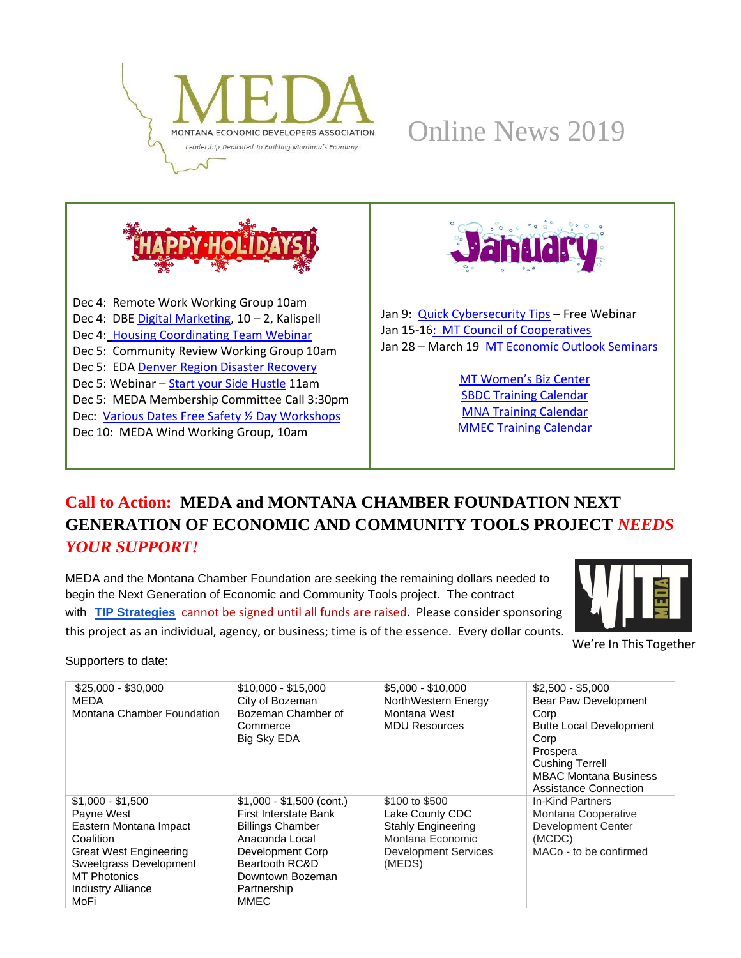





Dec 4: Remote Work Working Group 10am Dec 4: DB[E Digital Marketing,](https://ace.fvcc.edu/CourseStatus.awp?&Course=19AMKT9041A%20&DirectFrom=Schedule) 10 - 2, Kalispell Dec 4: [Housing Coordinating Team Webinar](https://register.gotowebinar.com/register/6309886527613693964) Dec 5: Community Review Working Group 10am Dec 5: EDA [Denver Region Disaster Recovery](https://zoom.us/webinar/register/WN_t9GSC4MZRQaYewsRth6CxA) Dec 5: Webinar - [Start your Side Hustle](https://mtsbdc.ecenterdirect.com/events/4179) 11am Dec 5: MEDA Membership Committee Call 3:30pm Dec: [Various Dates Free Safety ½ Day Workshops](https://email.connectablenews.com/t/ViewEmail/y/9FF5646241A2DF20/50F3B930F4F690BF2018F019E6F15D33) Dec 10: MEDA Wind Working Group, 10am



Jan 9: [Quick Cybersecurity Tips](https://mtsbdc.ecenterdirect.com/events/4357) – Free Webinar Jan 15-1[6: MT Council of Cooperatives](https://matr.net/event/montana-council-of-cooperatives-60th-annual-meeting-january-15-16-2020-great-falls/) Jan 28 – March 19 [MT Economic Outlook Seminars](http://www.economicoutlookseminar.com/)

> [MT Women's Biz Center](https://www.prosperamt.org/calendar) [SBDC Training Calendar](http://sbdc.mt.gov/trainings) [MNA Training Calendar](http://www.mtnonprofit.org/17training/) [MMEC Training Calendar](https://www.cvent.com/c/calendar/180314d2-3840-480c-9468-df6c286a789b)

# **Call to Action: MEDA and MONTANA CHAMBER FOUNDATION NEXT GENERATION OF ECONOMIC AND COMMUNITY TOOLS PROJECT** *NEEDS YOUR SUPPORT!*

MEDA and the Montana Chamber Foundation are seeking the remaining dollars needed to begin the Next Generation of Economic and Community Tools project. The contract with **[TIP Strategies](https://www.medamembers.org/media/userfiles/subsite_48/files/2019-09-24%20TIP%20Strategies_%20MEDA%20Proposal%20FINAL.pdf)** cannot be signed until all funds are raised. Please consider sponsoring this project as an individual, agency, or business; time is of the essence. Every dollar counts.



We're In This Together

Supporters to date:

| $$25,000 - $30,000$<br>MEDA<br>Montana Chamber Foundation                                                                                                                                    | $$10,000 - $15,000$<br>City of Bozeman<br>Bozeman Chamber of<br>Commerce<br>Big Sky EDA                                                                                          | $$5,000 - $10,000$<br>NorthWestern Energy<br>Montana West<br><b>MDU Resources</b>                                           | $$2,500 - $5,000$<br>Bear Paw Development<br>Corp<br><b>Butte Local Development</b><br>Corp<br>Prospera<br><b>Cushing Terrell</b><br><b>MBAC Montana Business</b> |
|----------------------------------------------------------------------------------------------------------------------------------------------------------------------------------------------|----------------------------------------------------------------------------------------------------------------------------------------------------------------------------------|-----------------------------------------------------------------------------------------------------------------------------|-------------------------------------------------------------------------------------------------------------------------------------------------------------------|
| $$1,000 - $1,500$<br>Payne West<br>Eastern Montana Impact<br>Coalition<br><b>Great West Engineering</b><br>Sweetgrass Development<br><b>MT Photonics</b><br><b>Industry Alliance</b><br>MoFi | $$1,000 - $1,500$ (cont.)<br>First Interstate Bank<br><b>Billings Chamber</b><br>Anaconda Local<br>Development Corp<br>Beartooth RC&D<br>Downtown Bozeman<br>Partnership<br>MMEC | \$100 to \$500<br>Lake County CDC<br><b>Stahly Engineering</b><br>Montana Economic<br><b>Development Services</b><br>(MEDS) | Assistance Connection<br>In-Kind Partners<br>Montana Cooperative<br><b>Development Center</b><br>(MCDC)<br>MACo - to be confirmed                                 |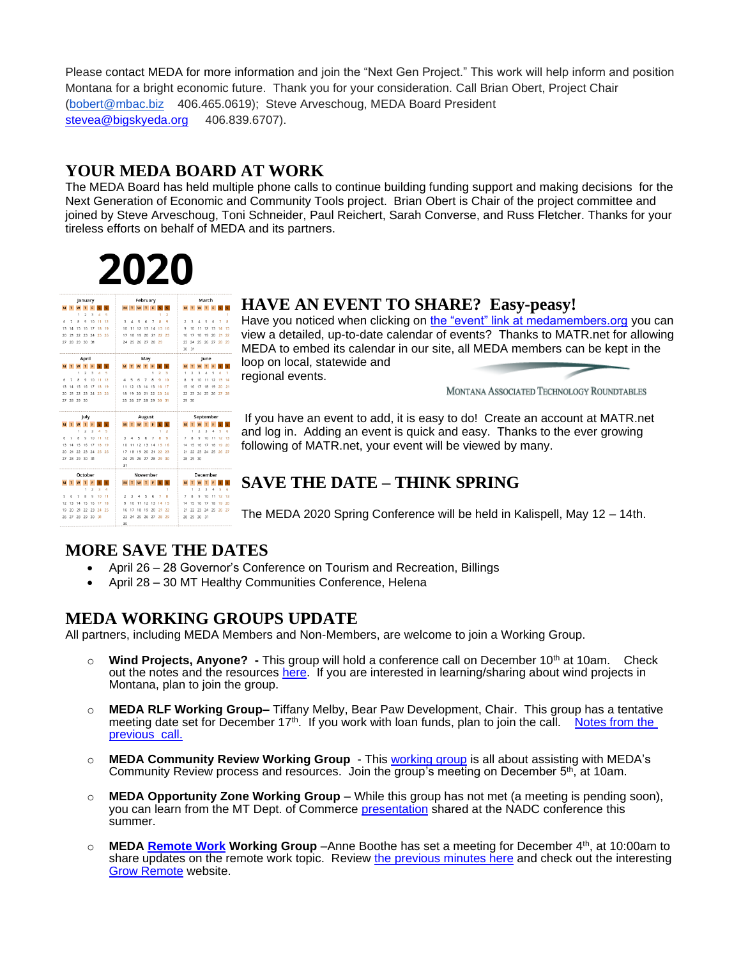Please contact MEDA for more information and join the "Next Gen Project." This work will help inform and position Montana for a bright economic future. Thank you for your consideration. Call Brian Obert, Project Chair [\(bobert@mbac.biz](mailto:bobert@mbac.biz) 406.465.0619); Steve Arveschoug, MEDA Board President [stevea@bigskyeda.org](mailto:stevea@bigskyeda.org) 406.839.6707).

#### **YOUR MEDA BOARD AT WORK**

The MEDA Board has held multiple phone calls to continue building funding support and making decisions for the Next Generation of Economic and Community Tools project. Brian Obert is Chair of the project committee and joined by Steve Arveschoug, Toni Schneider, Paul Reichert, Sarah Converse, and Russ Fletcher. Thanks for your tireless efforts on behalf of MEDA and its partners.

# 2020

| January |                |                    |                |                    |       | February |                 |                |                      |        |    |            | March          |      |                |                         |                |                |          |    |         |
|---------|----------------|--------------------|----------------|--------------------|-------|----------|-----------------|----------------|----------------------|--------|----|------------|----------------|------|----------------|-------------------------|----------------|----------------|----------|----|---------|
| M       | T              | w                  | T              | p                  |       |          |                 |                | MTWTF                |        |    | $\epsilon$ |                |      |                |                         | M T W T F      |                |          |    |         |
|         |                | 1                  | $\mathfrak{p}$ | $\mathbf{\hat{z}}$ | 4     | s        |                 |                |                      |        |    | ٠          | $\overline{a}$ |      |                |                         |                |                |          |    | ٠       |
| 6       | 7              | Ř                  | ٥              | 10                 | 11    | 12       | 3               | 4              | 5                    | 6      | 7  | 8          | ٩              |      | $\overline{2}$ | 3                       | 4              | 5              | 6        | 7  | R       |
| 13      | 14             | 15                 | 16             | 17                 | 18    | 19       | 10              | 11             | 12                   | 13     | 14 | 15         | 16             |      | 9              | 10                      | 11             | 12             | 13       | 14 | 15      |
| 20      | 21             | 22                 | 23             | 24                 | 25    | 26       | 17              | 18             | 19                   | 20     | 21 | 22         | 23             |      | 16             | 17                      | 18             | 19             | 20       | 21 | $^{22}$ |
| 27      |                |                    | 28 29 30 31    |                    |       |          |                 |                | 24 25 26 27 28       |        |    | 29         |                |      | 23             |                         | 24 25 26 27    |                |          | 28 | 79      |
|         |                |                    |                |                    |       |          |                 |                |                      |        |    |            |                |      |                | 30 31                   |                |                |          |    |         |
| April   |                |                    |                |                    |       | May      |                 |                |                      |        |    |            |                | June |                |                         |                |                |          |    |         |
| M       | T W T          |                    |                | F                  |       |          |                 |                | M T W T              |        | F  |            |                |      | M              | T                       | w              | T              |          |    |         |
|         |                | 1                  | <sup>2</sup>   | R                  |       | ĸ        |                 |                |                      |        |    | ,          | R              |      | 1              | $\overline{ }$          | R              | 4              |          |    |         |
| ĥ       | 7              | $\mathbf{\hat{z}}$ | ٥              | 10                 | 11    | 12       | Δ               | 5              | ĥ                    | 7      | 8  | ۰          | 10             |      | 8              | 9                       | 10             | 11             | 12       | 13 | 14      |
| 13      | 14             | 15                 | 16             | 17                 | 18    | 19       | 11, 12          |                | 13                   | 14     | 15 | 16         | 17             |      | 15             | 16                      | 17             | 18             | 19       | 20 | 21      |
| 20      | 21             | 22                 | 23             | 24                 | 25 26 |          | 18              | 19             | 20                   | 21     | 22 | 23         | 24             |      | 22             | 23                      | 24 25 26       |                |          | 27 | -28     |
|         | 27 28 29 30    |                    |                |                    |       |          |                 |                | 25 26 27 28 29 30    |        |    |            | 31             |      |                | 29 30                   |                |                |          |    |         |
|         |                |                    | July           |                    |       |          |                 |                |                      | August |    |            |                |      |                |                         | September      |                |          |    |         |
| м       |                | W                  | T              | F                  |       |          | M               |                | T W T F              |        |    | s          |                |      | M              | T                       | w              | Ŧ              |          |    |         |
|         |                | 1                  | $\overline{2}$ | 3                  | Ă     | ς        |                 |                |                      |        |    | 1.         | $\overline{2}$ |      |                | 1                       | $\mathfrak{D}$ | $\overline{3}$ | 4        | s  | ĸ       |
| 6       | 7              | 8                  | $\circ$        | 10                 | 11    | 12       | 3               | 4              | 5                    | 6      | 7  | R          | 9              |      | $\overline{7}$ | $\overline{\mathbf{a}}$ | $\mathsf{Q}$   | 10             | 11       | 12 | 13      |
| 13      | 14             | 15                 | -16            | 17                 | 18    | 19       | 10              | 11             | 12                   | -13    | 14 | 15         | 16             |      | 14             | 15                      | 16             | 17             | 18       | 19 | 20      |
| 20      | 21             | 22                 | 23             | 24                 | 25    | 26       | 17              | 18             | 19                   | 20     | 21 | 22         | 23             |      | 21             | 22                      | 23             | 24 25 26 27    |          |    |         |
| 27      |                |                    | 28 29 30 31    |                    |       |          |                 |                | 24 25 26 27 28 29 30 |        |    |            |                |      |                | 28 29 30                |                |                |          |    |         |
|         |                |                    |                |                    |       |          | 31              |                |                      |        |    |            |                |      |                |                         |                |                |          |    |         |
| October |                |                    |                | November           |       |          |                 |                |                      |        |    |            | December       |      |                |                         |                |                |          |    |         |
|         | т.             | <b>W</b>           | T              | F                  |       |          |                 |                | MTWTF                |        |    |            |                |      | M              | T                       | W              | T              |          |    |         |
|         |                |                    | 1              | $\overline{2}$     | 3     | A        |                 |                |                      |        |    |            | ٠              |      |                | 1                       | $\overline{2}$ | 3              | 4        | S  | 6       |
| s       | 6              | 7                  | Ŕ              | Q                  | 10    | 11       | $\overline{2}$  | $\overline{a}$ |                      | s      | 6  | 7          | R              |      | $\overline{7}$ | $\mathbf{R}$            | $\mathsf{Q}$   | 10             | 11       | 12 | 13      |
| 12      | 13             | 14                 | 15             | 16                 | 17    | 18       | 9               | 10             | 11                   | 12     | 13 | 14         | 15             |      | 14             | 15                      | 16             | 17             | 18       | 19 | 20      |
| 19      | 20             | 21                 | 22             | 23                 | 24    | 25       | 16              | 17             | 18                   | 19     | 20 | 21         | 22             |      | 21             | 22                      | 23             | 24             | 25 26 27 |    |         |
|         | 26 27 28 29 30 |                    |                |                    | 31    |          |                 |                | 23 24 25 26 27       |        |    |            | 28 29          |      |                |                         | 28 29 30 31    |                |          |    |         |
|         |                |                    |                |                    |       |          | 20 <sub>1</sub> |                |                      |        |    |            |                |      |                |                         |                |                |          |    |         |

#### **HAVE AN EVENT TO SHARE? Easy-peasy!**

Have you noticed when clicking on [the "event" link at medamembers.org](https://www.medamembers.org/events) you can view a detailed, up-to-date calendar of events? Thanks to MATR.net for allowing MEDA to embed its calendar in our site, all MEDA members can be kept in the loop on local, statewide and

regional events.

MONTANA ASSOCIATED TECHNOLOGY ROUNDTABLES

If you have an event to add, it is easy to do! Create an account at MATR.net and log in. Adding an event is quick and easy. Thanks to the ever growing following of MATR.net, your event will be viewed by many.

## **SAVE THE DATE – THINK SPRING**

The MEDA 2020 Spring Conference will be held in Kalispell, May 12 – 14th.

## **MORE SAVE THE DATES**

- April 26 28 Governor's Conference on Tourism and Recreation, Billings
- April 28 30 MT Healthy Communities Conference, Helena

#### **MEDA WORKING GROUPS UPDATE**

All partners, including MEDA Members and Non-Members, are welcome to join a Working Group.

- **Wind Projects, Anyone?** This group will hold a conference call on December 10<sup>th</sup> at 10am. Check out the notes and the resources [here.](https://www.medamembers.org/working-groups/wind-project-working-group) If you are interested in learning/sharing about wind projects in Montana, plan to join the group.
- o **MEDA RLF Working Group–** Tiffany Melby, Bear Paw Development, Chair. This group has a tentative meeting date set for December 17<sup>th</sup>. If you work with loan funds, plan to join the call. [Notes from the](https://www.medamembers.org/working-groups/revolving-loan-fund/p/item/9352/rlf-working-group-notes-sept-2019) [previous call.](https://www.medamembers.org/working-groups/revolving-loan-fund/p/item/9352/rlf-working-group-notes-sept-2019)
- o **MEDA Community Review Working Group** This [working group](https://www.medamembers.org/working-groups/community-review-working-group) is all about assisting with MEDA's Community Review process and resources. Join the group's meeting on December 5<sup>th</sup>, at 10am.
- **MEDA Opportunity Zone Working Group** While this group has not met (a meeting is pending soon), you can learn from the MT Dept. of Commerce [presentation](https://www.medamembers.org/media/userfiles/subsite_48/files/2019_07_23%20OZ%20NADC%20Presentation%20Draft1.pdf) shared at the NADC conference this summer.
- **MEDA** [Remote Work](https://www.medamembers.org/working-groups/remote-work/?cat=Remote+Work) Working Group –Anne Boothe has set a meeting for December 4<sup>th</sup>, at 10:00am to share updates on the remote work topic. Review [the previous minutes here](http://www.medamembers.org/working-groups/remote-work/p/item/8274/remote-worker-working-group-notes-may-29-2019) and check out the interesting [Grow Remote](https://growremote.ie/) website.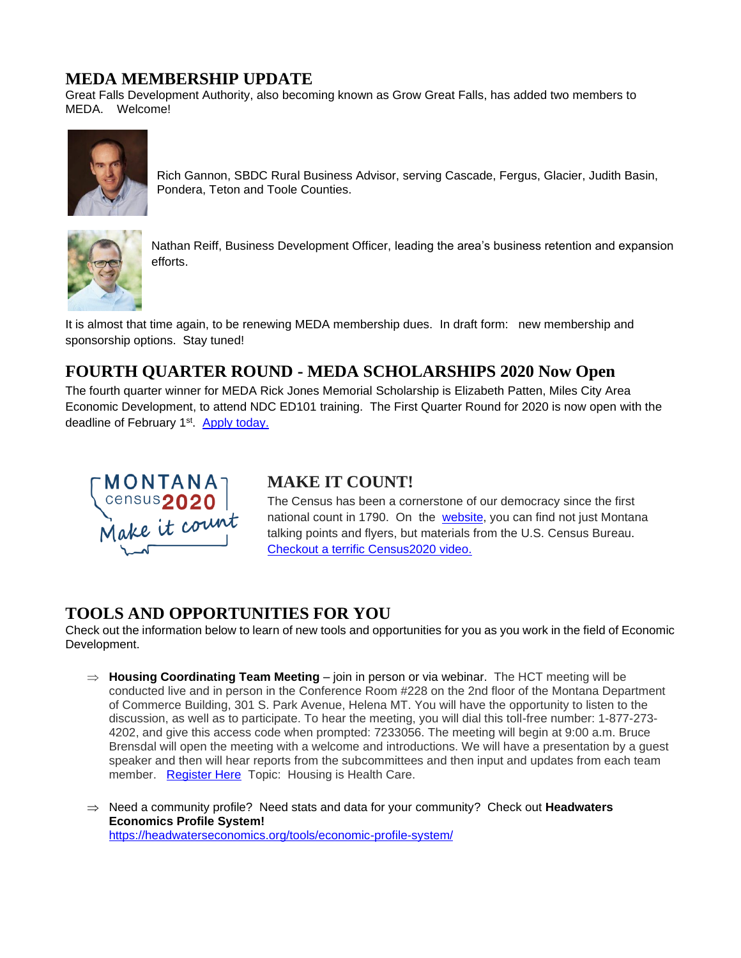#### **MEDA MEMBERSHIP UPDATE**

Great Falls Development Authority, also becoming known as Grow Great Falls, has added two members to MEDA. Welcome!



Rich Gannon, SBDC Rural Business Advisor, serving Cascade, Fergus, Glacier, Judith Basin, Pondera, Teton and Toole Counties.



Nathan Reiff, Business Development Officer, leading the area's business retention and expansion efforts.

It is almost that time again, to be renewing MEDA membership dues. In draft form: new membership and sponsorship options. Stay tuned!

## **FOURTH QUARTER ROUND - MEDA SCHOLARSHIPS 2020 Now Open**

The fourth quarter winner for MEDA Rick Jones Memorial Scholarship is Elizabeth Patten, Miles City Area Economic Development, to attend NDC ED101 training. The First Quarter Round for 2020 is now open with the deadline of February 1<sup>st</sup>. [Apply today.](https://www.medamembers.org/membership/scholarships)



## **MAKE IT COUNT!**

The Census has been a cornerstone of our democracy since the first national count in 1790. On the [website,](https://2020census.gov/en/partners/outreach-materials.html) you can find not just Montana talking points and flyers, but materials from the U.S. Census Bureau. Checkout a terrific [Census2020](https://youtu.be/Eq-FMB4epyw) video.

## **TOOLS AND OPPORTUNITIES FOR YOU**

Check out the information below to learn of new tools and opportunities for you as you work in the field of Economic Development.

- $\Rightarrow$  **Housing Coordinating Team Meeting** join in person or via webinar. The HCT meeting will be conducted live and in person in the Conference Room #228 on the 2nd floor of the Montana Department of Commerce Building, 301 S. Park Avenue, Helena MT. You will have the opportunity to listen to the discussion, as well as to participate. To hear the meeting, you will dial this toll-free number: 1-877-273- 4202, and give this access code when prompted: 7233056. The meeting will begin at 9:00 a.m. Bruce Brensdal will open the meeting with a welcome and introductions. We will have a presentation by a guest speaker and then will hear reports from the subcommittees and then input and updates from each team member. [Register Here](https://register.gotowebinar.com/register/6309886527613693964) Topic: Housing is Health Care.
- Need a community profile? Need stats and data for your community? Check out **Headwaters Economics Profile System!** <https://headwaterseconomics.org/tools/economic-profile-system/>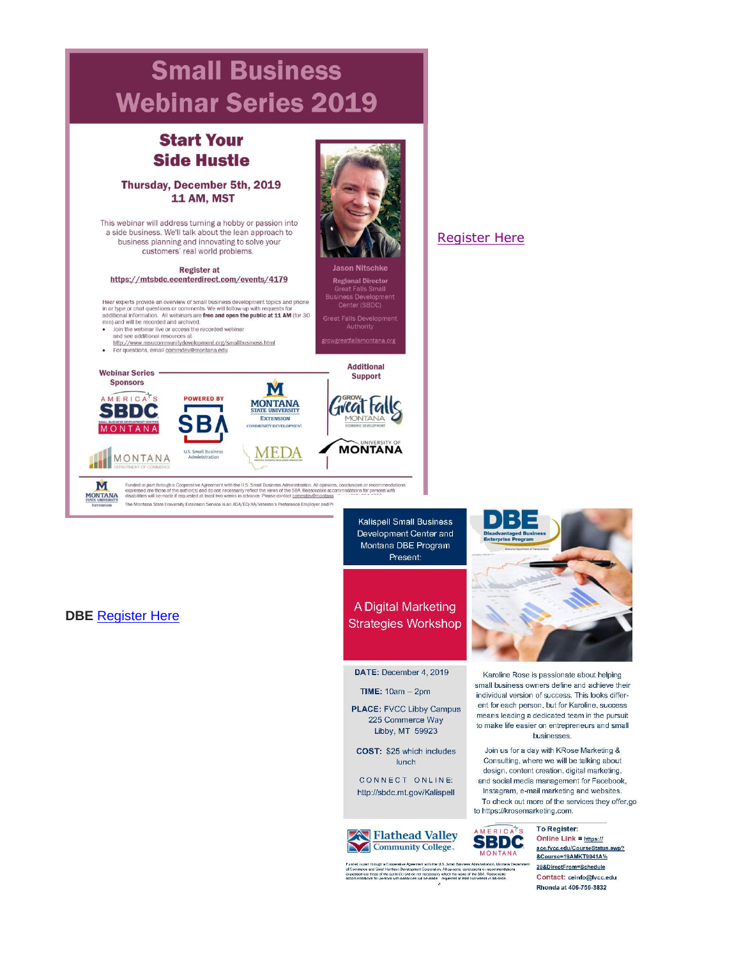

#### **DBE** [Register Here](https://ace.fvcc.edu/CourseStatus.awp?&Course=19AMKT9041A%20&DirectFrom=Schedule)

Development Center and Montana DBE Program Present:

#### A Digital Marketing **Strategies Workshop**

DATE: December 4, 2019

- $TIME: 10am 2pm$
- **PLACE: FVCC Libby Campus** 225 Commerce Way Libby, MT 59923
- COST: \$25 which includes lunch

CONNECT ONLINE: http://sbdc.mt.gov/Kalispell



ERIC. **SBDC MONTANA** 

Funded in part finaugh a Cooperative Agreement with the U.S. Small Business Administration, Montan<br>of Commerce and Great Horiterin Development Corporation, All gondons, concluded or recommercial commerce<br>expresses are tho



Karoline Rose is passionate about helping small business owners define and achieve their individual version of success. This looks different for each person, but for Karoline, success means leading a dedicated team in the pursuit to make life easier on entrepreneurs and small businesses.

Join us for a day with KRose Marketing & Consulting, where we will be talking about design, content creation, digital marketing, and social media management for Facebook, Instagram, e-mail marketing and websites. To check out more of the services they offer,go to https://krosemarketing.com.

> To Register: Online Link =  $https://$ </u> ace.fvcc.edu/CourseStatus.awp? &Course=19AMKT9041A% 20&DirectFrom=Schedule Contact: ceinfo@fvcc.edu Rhonda at 406-756-3832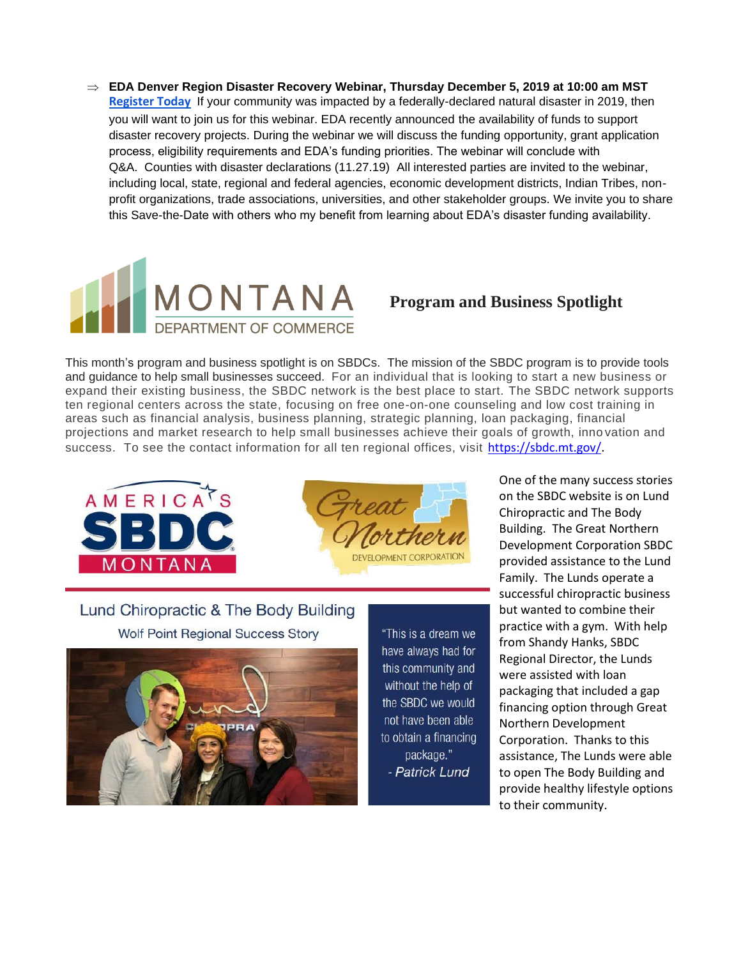**EDA Denver Region Disaster Recovery Webinar, Thursday December 5, 2019 at 10:00 am MST [Register Today](https://zoom.us/webinar/register/WN_t9GSC4MZRQaYewsRth6CxA)** If your community was impacted by a federally-declared natural disaster in 2019, then you will want to join us for this webinar. EDA recently announced the availability of funds to support disaster recovery projects. During the webinar we will discuss the funding opportunity, grant application process, eligibility requirements and EDA's funding priorities. The webinar will conclude with Q&A. Counties with disaster declarations (11.27.19) All interested parties are invited to the webinar, including local, state, regional and federal agencies, economic development districts, Indian Tribes, nonprofit organizations, trade associations, universities, and other stakeholder groups. We invite you to share this Save-the-Date with others who my benefit from learning about EDA's disaster funding availability.



## **Program and Business Spotlight**

This month's program and business spotlight is on SBDCs. The mission of the SBDC program is to provide tools and guidance to help small businesses succeed. For an individual that is looking to start a new business or expand their existing business, the SBDC network is the best place to start. The SBDC network supports ten regional centers across the state, focusing on free one-on-one counseling and low cost training in areas such as financial analysis, business planning, strategic planning, loan packaging, financial projections and market research to help small businesses achieve their goals of growth, inno vation and success. To see the contact information for all ten regional offices, visit [https://sbdc.mt.gov/.](https://sbdc.mt.gov/)





Lund Chiropractic & The Body Building **Wolf Point Regional Success Story** 



"This is a dream we have always had for this community and without the help of the SBDC we would not have been able to obtain a financing package." - Patrick Lund

One of the many success stories on the SBDC website is on Lund Chiropractic and The Body Building. The Great Northern Development Corporation SBDC provided assistance to the Lund Family. The Lunds operate a successful chiropractic business but wanted to combine their practice with a gym. With help from Shandy Hanks, SBDC Regional Director, the Lunds were assisted with loan packaging that included a gap financing option through Great Northern Development Corporation. Thanks to this assistance, The Lunds were able to open The Body Building and provide healthy lifestyle options to their community.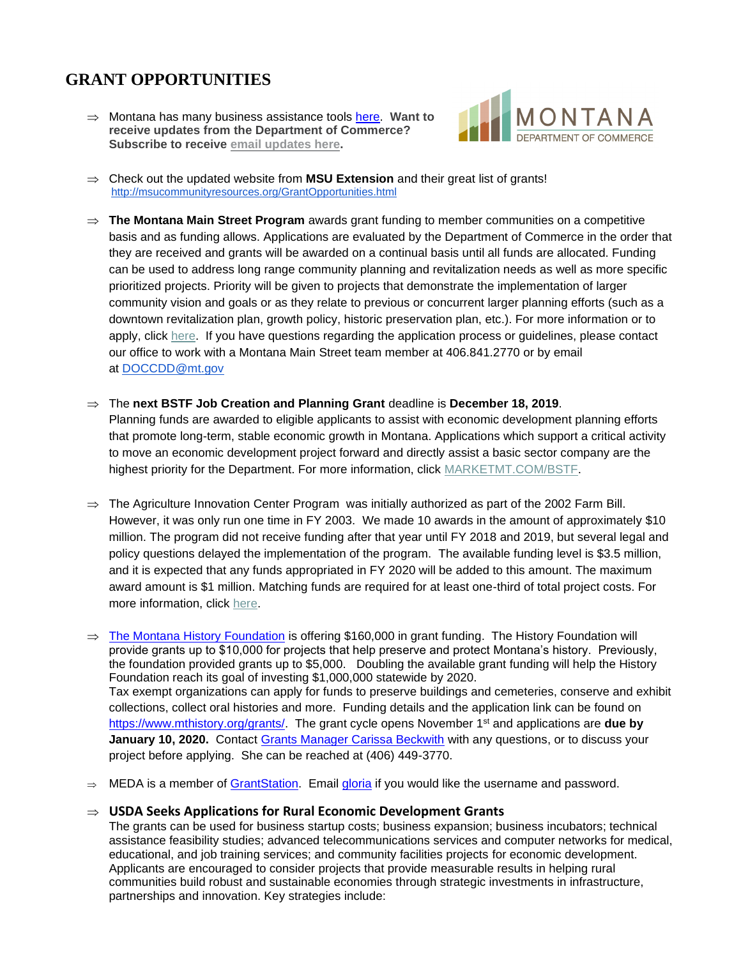# **GRANT OPPORTUNITIES**

 Montana has many business assistance tools [here.](http://marketmt.com/BusinessAssistance) **Want to receive updates from the Department of Commerce? Subscribe to receive email [updates](https://public.govdelivery.com/accounts/MTDOC/subscriber/new?qsp=MTDOC_2) here.**



- $\Rightarrow$  Check out the updated website from **MSU Extension** and their great list of grants! <http://msucommunityresources.org/GrantOpportunities.html>
- $\Rightarrow$  The Montana Main Street Program awards grant funding to member communities on a competitive basis and as funding allows. Applications are evaluated by the Department of Commerce in the order that they are received and grants will be awarded on a continual basis until all funds are allocated. Funding can be used to address long range community planning and revitalization needs as well as more specific prioritized projects. Priority will be given to projects that demonstrate the implementation of larger community vision and goals or as they relate to previous or concurrent larger planning efforts (such as a downtown revitalization plan, growth policy, historic preservation plan, etc.). For more information or to apply, click [here.](https://lnks.gd/l/eyJhbGciOiJIUzI1NiJ9.eyJidWxsZXRpbl9saW5rX2lkIjoxMTIsInVyaSI6ImJwMjpjbGljayIsImJ1bGxldGluX2lkIjoiMjAxOTExMjIuMTMyODg3NDEiLCJ1cmwiOiJodHRwczovL2NvbWRldi5tdC5nb3YvUHJvZ3JhbXMvTWFpblN0cmVldC9Sb2FkTWFwL0d1aWRlbGluZXNGb3JtcyJ9.qI_iUNS8udwGgeTK9zj8aNsZ06vvHTsB2cgYxySbkmo/br/71767087207-l) If you have questions regarding the application process or guidelines, please contact our office to work with a Montana Main Street team member at 406.841.2770 or by email at [DOCCDD@mt.gov](mailto:DOCCDD@mt.gov)
- The **next BSTF Job Creation and Planning Grant** deadline is **December 18, 2019**. Planning funds are awarded to eligible applicants to assist with economic development planning efforts that promote long-term, stable economic growth in Montana. Applications which support a critical activity to move an economic development project forward and directly assist a basic sector company are the highest priority for the Department. For more information, click [MARKETMT.COM/BSTF.](https://lnks.gd/l/eyJhbGciOiJIUzI1NiJ9.eyJidWxsZXRpbl9saW5rX2lkIjoxMTMsInVyaSI6ImJwMjpjbGljayIsImJ1bGxldGluX2lkIjoiMjAxOTExMjIuMTMyODg3NDEiLCJ1cmwiOiJodHRwczovL21hcmtldG10LmNvbS9CU1RGL1BsYW5uaW5nL0luZm9ybWF0aW9uIn0.QV_g2_14ScDf8GW8vt9-vt9ffTiF7mZgQ4xmbTMa-rQ/br/71767087207-l)
- $\Rightarrow$  The Agriculture Innovation Center Program was initially authorized as part of the 2002 Farm Bill. However, it was only run one time in FY 2003. We made 10 awards in the amount of approximately \$10 million. The program did not receive funding after that year until FY 2018 and 2019, but several legal and policy questions delayed the implementation of the program. The available funding level is \$3.5 million, and it is expected that any funds appropriated in FY 2020 will be added to this amount. The maximum award amount is \$1 million. Matching funds are required for at least one-third of total project costs. For more information, click [here.](https://lnks.gd/l/eyJhbGciOiJIUzI1NiJ9.eyJidWxsZXRpbl9saW5rX2lkIjoxMTQsInVyaSI6ImJwMjpjbGljayIsImJ1bGxldGluX2lkIjoiMjAxOTExMjIuMTMyODg3NDEiLCJ1cmwiOiJodHRwczovL3d3dy5yZC51c2RhLmdvdi9wcm9ncmFtcy1zZXJ2aWNlcy9hZ3JpY3VsdHVyZS1pbm5vdmF0aW9uLWNlbnRlci1wcm9ncmFtIn0.5F0s8QCww0fZGCQtc3fnG3RUv50p0otjx-3y6wnLuwI/br/71767087207-l)
- $\Rightarrow$  [The Montana History Foundation](http://www.mthistory.org/) is offering \$160,000 in grant funding. The History Foundation will provide grants up to \$10,000 for projects that help preserve and protect Montana's history. Previously, the foundation provided grants up to \$5,000. Doubling the available grant funding will help the History Foundation reach its goal of investing \$1,000,000 statewide by 2020. Tax exempt organizations can apply for funds to preserve buildings and cemeteries, conserve and exhibit collections, collect oral histories and more. Funding details and the application link can be found on [https://www.mthistory.org/grants/.](https://www.mthistory.org/grants/) The grant cycle opens November 1st and applications are **due by January 10, 2020.** Contact [Grants Manager Carissa Beckwith](mailto:carissa@mthistory.org) with any questions, or to discuss your project before applying. She can be reached at (406) 449-3770.
- $\Rightarrow$  MEDA is a member of [GrantStation.](https://grantstation.com/index.asp) Email [gloria](mailto:gloria@medamembers.org) if you would like the username and password.

#### **USDA Seeks Applications for Rural Economic Development Grants**

The grants can be used for business startup costs; business expansion; business incubators; technical assistance feasibility studies; advanced telecommunications services and computer networks for medical, educational, and job training services; and community facilities projects for economic development. Applicants are encouraged to consider projects that provide measurable results in helping rural communities build robust and sustainable economies through strategic investments in infrastructure, partnerships and innovation. Key strategies include: